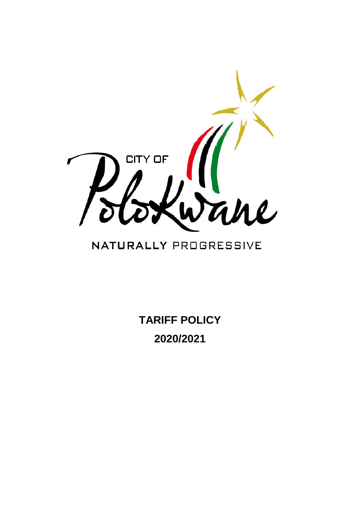

# NATURALLY PROGRESSIVE

**TARIFF POLICY 2020/2021**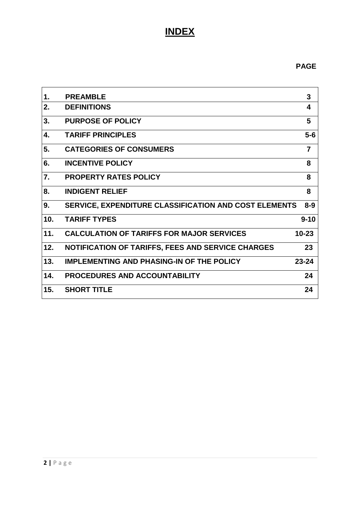## **INDEX**

## **PAGE**

| 1.               | <b>PREAMBLE</b>                                              | 3              |
|------------------|--------------------------------------------------------------|----------------|
| 2.               | <b>DEFINITIONS</b>                                           | 4              |
| 3.               | <b>PURPOSE OF POLICY</b>                                     | 5              |
| 4.               | <b>TARIFF PRINCIPLES</b>                                     | $5-6$          |
| 5.               | <b>CATEGORIES OF CONSUMERS</b>                               | $\overline{7}$ |
| 6.               | <b>INCENTIVE POLICY</b>                                      | 8              |
| $\overline{7}$ . | <b>PROPERTY RATES POLICY</b>                                 | 8              |
| 8.               | <b>INDIGENT RELIEF</b>                                       | 8              |
| 9.               | <b>SERVICE, EXPENDITURE CLASSIFICATION AND COST ELEMENTS</b> | $8 - 9$        |
| 10.              | <b>TARIFF TYPES</b>                                          | $9 - 10$       |
| 11.              | <b>CALCULATION OF TARIFFS FOR MAJOR SERVICES</b>             | $10 - 23$      |
| 12.              | NOTIFICATION OF TARIFFS, FEES AND SERVICE CHARGES            | 23             |
| 13.              | <b>IMPLEMENTING AND PHASING-IN OF THE POLICY</b>             | $23 - 24$      |
| 14.              | <b>PROCEDURES AND ACCOUNTABILITY</b>                         | 24             |
| 15.              | <b>SHORT TITLE</b>                                           | 24             |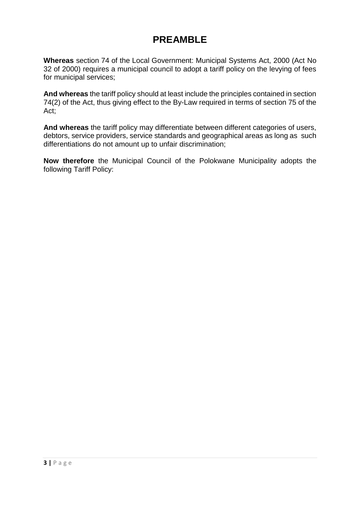## **PREAMBLE**

**Whereas** section 74 of the Local Government: Municipal Systems Act, 2000 (Act No 32 of 2000) requires a municipal council to adopt a tariff policy on the levying of fees for municipal services;

**And whereas** the tariff policy should at least include the principles contained in section 74(2) of the Act, thus giving effect to the By-Law required in terms of section 75 of the Act;

**And whereas** the tariff policy may differentiate between different categories of users, debtors, service providers, service standards and geographical areas as long as such differentiations do not amount up to unfair discrimination;

**Now therefore** the Municipal Council of the Polokwane Municipality adopts the following Tariff Policy: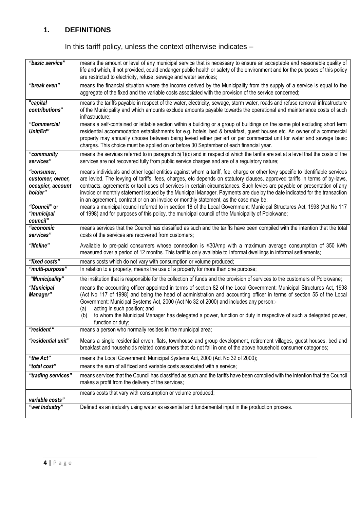## **1. DEFINITIONS**

## In this tariff policy, unless the context otherwise indicates –

| "basic service"                                                | means the amount or level of any municipal service that is necessary to ensure an acceptable and reasonable quality of<br>life and which, if not provided, could endanger public health or safety of the environment and for the purposes of this policy<br>are restricted to electricity, refuse, sewage and water services;                                                                                                                                                                                                                                                                               |
|----------------------------------------------------------------|-------------------------------------------------------------------------------------------------------------------------------------------------------------------------------------------------------------------------------------------------------------------------------------------------------------------------------------------------------------------------------------------------------------------------------------------------------------------------------------------------------------------------------------------------------------------------------------------------------------|
| "break even"                                                   | means the financial situation where the income derived by the Municipality from the supply of a service is equal to the<br>aggregate of the fixed and the variable costs associated with the provision of the service concerned;                                                                                                                                                                                                                                                                                                                                                                            |
| "capital<br>contributions"                                     | means the tariffs payable in respect of the water, electricity, sewage, storm water, roads and refuse removal infrastructure<br>of the Municipality and which amounts exclude amounts payable towards the operational and maintenance costs of such<br>infrastructure;                                                                                                                                                                                                                                                                                                                                      |
| "Commercial<br>Unit/Erf"                                       | means a self-contained or lettable section within a building or a group of buildings on the same plot excluding short term<br>residential accommodation establishments for e.g. hotels, bed & breakfast, guest houses etc. An owner of a commercial<br>property may annually choose between being levied either per erf or per commercial unit for water and sewage basic<br>charges. This choice must be applied on or before 30 September of each financial year.                                                                                                                                         |
| "community<br>services"                                        | means the services referred to in paragraph 5(1)(c) and in respect of which the tariffs are set at a level that the costs of the<br>services are not recovered fully from public service charges and are of a regulatory nature;                                                                                                                                                                                                                                                                                                                                                                            |
| "consumer,<br>customer, owner,<br>occupier, account<br>holder" | means individuals and other legal entities against whom a tariff, fee, charge or other levy specific to identifiable services<br>are levied. The levying of tariffs, fees, charges, etc depends on statutory clauses, approved tariffs in terms of by-laws,<br>contracts, agreements or tacit uses of services in certain circumstances. Such levies are payable on presentation of any<br>invoice or monthly statement issued by the Municipal Manager. Payments are due by the date indicated for the transaction<br>in an agreement, contract or on an invoice or monthly statement, as the case may be; |
| "Council" or<br>"municipal<br>council"                         | means a municipal council referred to in section 18 of the Local Government: Municipal Structures Act, 1998 (Act No 117<br>of 1998) and for purposes of this policy, the municipal council of the Municipality of Polokwane;                                                                                                                                                                                                                                                                                                                                                                                |
| "economic<br>services"                                         | means services that the Council has classified as such and the tariffs have been compiled with the intention that the total<br>costs of the services are recovered from customers;                                                                                                                                                                                                                                                                                                                                                                                                                          |
| "lifeline"                                                     | Available to pre-paid consumers whose connection is ≤30Amp with a maximum average consumption of 350 kWh<br>measured over a period of 12 months. This tariff is only available to Informal dwellings in informal settlements;                                                                                                                                                                                                                                                                                                                                                                               |
| "fixed costs"                                                  | means costs which do not vary with consumption or volume produced;                                                                                                                                                                                                                                                                                                                                                                                                                                                                                                                                          |
| "multi-purpose"                                                | In relation to a property, means the use of a property for more than one purpose;                                                                                                                                                                                                                                                                                                                                                                                                                                                                                                                           |
| "Municipality"                                                 | the institution that is responsible for the collection of funds and the provision of services to the customers of Polokwane;                                                                                                                                                                                                                                                                                                                                                                                                                                                                                |
| "Municipal<br>Manager"                                         | means the accounting officer appointed in terms of section 82 of the Local Government: Municipal Structures Act, 1998<br>(Act No 117 of 1998) and being the head of administration and accounting officer in terms of section 55 of the Local<br>Government: Municipal Systems Act, 2000 (Act No 32 of 2000) and includes any person:-<br>acting in such position; and<br>(a)<br>to whom the Municipal Manager has delegated a power, function or duty in respective of such a delegated power,<br>(b)<br>function or duty;                                                                                 |
| "resident "                                                    | means a person who normally resides in the municipal area;                                                                                                                                                                                                                                                                                                                                                                                                                                                                                                                                                  |
| "residential unit"                                             | Means a single residential erven, flats, townhouse and group development, retirement villages, guest houses, bed and<br>breakfast and households related consumers that do not fall in one of the above household consumer categories;                                                                                                                                                                                                                                                                                                                                                                      |
| "the Act"                                                      | means the Local Government: Municipal Systems Act, 2000 (Act No 32 of 2000);                                                                                                                                                                                                                                                                                                                                                                                                                                                                                                                                |
| "total cost"                                                   | means the sum of all fixed and variable costs associated with a service;                                                                                                                                                                                                                                                                                                                                                                                                                                                                                                                                    |
| "trading services"                                             | means services that the Council has classified as such and the tariffs have been compiled with the intention that the Council<br>makes a profit from the delivery of the services;                                                                                                                                                                                                                                                                                                                                                                                                                          |
| variable costs"                                                | means costs that vary with consumption or volume produced;                                                                                                                                                                                                                                                                                                                                                                                                                                                                                                                                                  |
| "wet Industry"                                                 | Defined as an industry using water as essential and fundamental input in the production process.                                                                                                                                                                                                                                                                                                                                                                                                                                                                                                            |
|                                                                |                                                                                                                                                                                                                                                                                                                                                                                                                                                                                                                                                                                                             |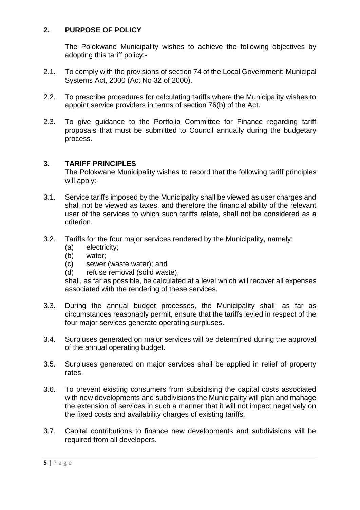## **2. PURPOSE OF POLICY**

The Polokwane Municipality wishes to achieve the following objectives by adopting this tariff policy:-

- 2.1. To comply with the provisions of section 74 of the Local Government: Municipal Systems Act, 2000 (Act No 32 of 2000).
- 2.2. To prescribe procedures for calculating tariffs where the Municipality wishes to appoint service providers in terms of section 76(b) of the Act.
- 2.3. To give guidance to the Portfolio Committee for Finance regarding tariff proposals that must be submitted to Council annually during the budgetary process.

#### **3. TARIFF PRINCIPLES**

The Polokwane Municipality wishes to record that the following tariff principles will apply:-

- 3.1. Service tariffs imposed by the Municipality shall be viewed as user charges and shall not be viewed as taxes, and therefore the financial ability of the relevant user of the services to which such tariffs relate, shall not be considered as a criterion.
- 3.2. Tariffs for the four major services rendered by the Municipality, namely:
	- (a) electricity;
	- (b) water;
	- (c) sewer (waste water); and
	- (d) refuse removal (solid waste),

shall, as far as possible, be calculated at a level which will recover all expenses associated with the rendering of these services.

- 3.3. During the annual budget processes, the Municipality shall, as far as circumstances reasonably permit, ensure that the tariffs levied in respect of the four major services generate operating surpluses.
- 3.4. Surpluses generated on major services will be determined during the approval of the annual operating budget.
- 3.5. Surpluses generated on major services shall be applied in relief of property rates.
- 3.6. To prevent existing consumers from subsidising the capital costs associated with new developments and subdivisions the Municipality will plan and manage the extension of services in such a manner that it will not impact negatively on the fixed costs and availability charges of existing tariffs.
- 3.7. Capital contributions to finance new developments and subdivisions will be required from all developers.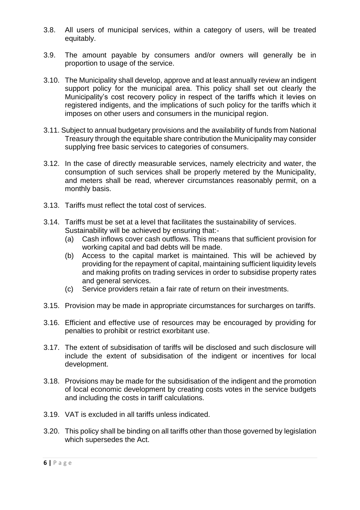- 3.8. All users of municipal services, within a category of users, will be treated equitably.
- 3.9. The amount payable by consumers and/or owners will generally be in proportion to usage of the service.
- 3.10. The Municipality shall develop, approve and at least annually review an indigent support policy for the municipal area. This policy shall set out clearly the Municipality's cost recovery policy in respect of the tariffs which it levies on registered indigents, and the implications of such policy for the tariffs which it imposes on other users and consumers in the municipal region.
- 3.11. Subject to annual budgetary provisions and the availability of funds from National Treasury through the equitable share contribution the Municipality may consider supplying free basic services to categories of consumers.
- 3.12. In the case of directly measurable services, namely electricity and water, the consumption of such services shall be properly metered by the Municipality, and meters shall be read, wherever circumstances reasonably permit, on a monthly basis.
- 3.13. Tariffs must reflect the total cost of services.
- 3.14. Tariffs must be set at a level that facilitates the sustainability of services. Sustainability will be achieved by ensuring that:-
	- (a) Cash inflows cover cash outflows. This means that sufficient provision for working capital and bad debts will be made.
	- (b) Access to the capital market is maintained. This will be achieved by providing for the repayment of capital, maintaining sufficient liquidity levels and making profits on trading services in order to subsidise property rates and general services.
	- (c) Service providers retain a fair rate of return on their investments.
- 3.15. Provision may be made in appropriate circumstances for surcharges on tariffs.
- 3.16. Efficient and effective use of resources may be encouraged by providing for penalties to prohibit or restrict exorbitant use.
- 3.17. The extent of subsidisation of tariffs will be disclosed and such disclosure will include the extent of subsidisation of the indigent or incentives for local development.
- 3.18. Provisions may be made for the subsidisation of the indigent and the promotion of local economic development by creating costs votes in the service budgets and including the costs in tariff calculations.
- 3.19. VAT is excluded in all tariffs unless indicated.
- 3.20. This policy shall be binding on all tariffs other than those governed by legislation which supersedes the Act.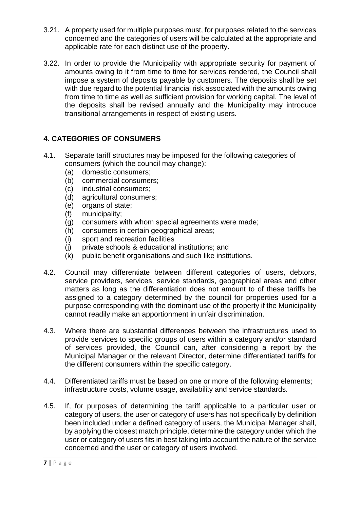- 3.21. A property used for multiple purposes must, for purposes related to the services concerned and the categories of users will be calculated at the appropriate and applicable rate for each distinct use of the property.
- 3.22. In order to provide the Municipality with appropriate security for payment of amounts owing to it from time to time for services rendered, the Council shall impose a system of deposits payable by customers. The deposits shall be set with due regard to the potential financial risk associated with the amounts owing from time to time as well as sufficient provision for working capital. The level of the deposits shall be revised annually and the Municipality may introduce transitional arrangements in respect of existing users.

## **4. CATEGORIES OF CONSUMERS**

- 4.1. Separate tariff structures may be imposed for the following categories of consumers (which the council may change):
	- (a) domestic consumers;
	- (b) commercial consumers;
	- (c) industrial consumers;
	- (d) agricultural consumers;
	- (e) organs of state;
	- (f) municipality;
	- (g) consumers with whom special agreements were made;
	- (h) consumers in certain geographical areas;
	- (i) sport and recreation facilities
	- (j) private schools & educational institutions; and
	- (k) public benefit organisations and such like institutions.
- 4.2. Council may differentiate between different categories of users, debtors, service providers, services, service standards, geographical areas and other matters as long as the differentiation does not amount to of these tariffs be assigned to a category determined by the council for properties used for a purpose corresponding with the dominant use of the property if the Municipality cannot readily make an apportionment in unfair discrimination.
- 4.3. Where there are substantial differences between the infrastructures used to provide services to specific groups of users within a category and/or standard of services provided, the Council can, after considering a report by the Municipal Manager or the relevant Director, determine differentiated tariffs for the different consumers within the specific category.
- 4.4. Differentiated tariffs must be based on one or more of the following elements; infrastructure costs, volume usage, availability and service standards.
- 4.5. If, for purposes of determining the tariff applicable to a particular user or category of users, the user or category of users has not specifically by definition been included under a defined category of users, the Municipal Manager shall, by applying the closest match principle, determine the category under which the user or category of users fits in best taking into account the nature of the service concerned and the user or category of users involved.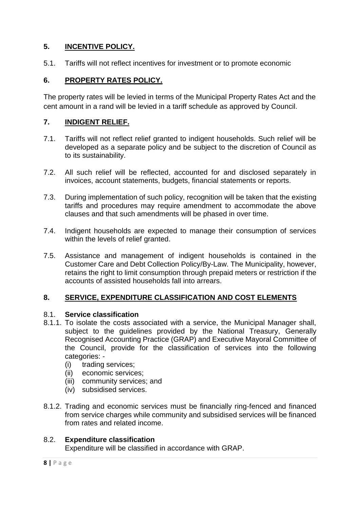## **5. INCENTIVE POLICY.**

5.1. Tariffs will not reflect incentives for investment or to promote economic

## **6. PROPERTY RATES POLICY.**

The property rates will be levied in terms of the Municipal Property Rates Act and the cent amount in a rand will be levied in a tariff schedule as approved by Council.

## **7. INDIGENT RELIEF.**

- 7.1. Tariffs will not reflect relief granted to indigent households. Such relief will be developed as a separate policy and be subject to the discretion of Council as to its sustainability.
- 7.2. All such relief will be reflected, accounted for and disclosed separately in invoices, account statements, budgets, financial statements or reports.
- 7.3. During implementation of such policy, recognition will be taken that the existing tariffs and procedures may require amendment to accommodate the above clauses and that such amendments will be phased in over time.
- 7.4. Indigent households are expected to manage their consumption of services within the levels of relief granted.
- 7.5. Assistance and management of indigent households is contained in the Customer Care and Debt Collection Policy/By-Law. The Municipality, however, retains the right to limit consumption through prepaid meters or restriction if the accounts of assisted households fall into arrears.

## **8. SERVICE, EXPENDITURE CLASSIFICATION AND COST ELEMENTS**

## 8.1. **Service classification**

- 8.1.1. To isolate the costs associated with a service, the Municipal Manager shall, subject to the guidelines provided by the National Treasury, Generally Recognised Accounting Practice (GRAP) and Executive Mayoral Committee of the Council, provide for the classification of services into the following categories: -
	- (i) trading services;
	- (ii) economic services;
	- (iii) community services; and
	- (iv) subsidised services.
- 8.1.2. Trading and economic services must be financially ring-fenced and financed from service charges while community and subsidised services will be financed from rates and related income.

## 8.2. **Expenditure classification**

Expenditure will be classified in accordance with GRAP.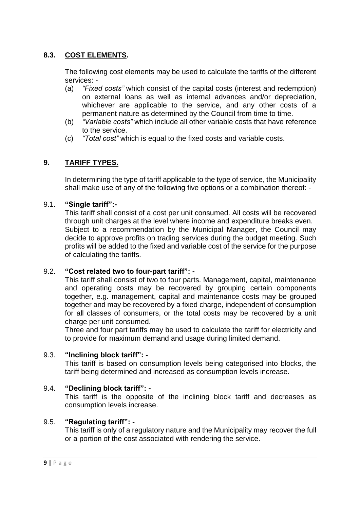## **8.3. COST ELEMENTS.**

The following cost elements may be used to calculate the tariffs of the different services: -

- (a) *"Fixed costs"* which consist of the capital costs (interest and redemption) on external loans as well as internal advances and/or depreciation, whichever are applicable to the service, and any other costs of a permanent nature as determined by the Council from time to time.
- (b) *"Variable costs"* which include all other variable costs that have reference to the service.
- (c) *"Total cost"* which is equal to the fixed costs and variable costs.

## **9. TARIFF TYPES.**

In determining the type of tariff applicable to the type of service, the Municipality shall make use of any of the following five options or a combination thereof: -

#### 9.1. **"Single tariff":-**

This tariff shall consist of a cost per unit consumed. All costs will be recovered through unit charges at the level where income and expenditure breaks even. Subject to a recommendation by the Municipal Manager, the Council may decide to approve profits on trading services during the budget meeting. Such profits will be added to the fixed and variable cost of the service for the purpose of calculating the tariffs.

#### 9.2. **"Cost related two to four-part tariff": -**

This tariff shall consist of two to four parts. Management, capital, maintenance and operating costs may be recovered by grouping certain components together, e.g. management, capital and maintenance costs may be grouped together and may be recovered by a fixed charge, independent of consumption for all classes of consumers, or the total costs may be recovered by a unit charge per unit consumed.

Three and four part tariffs may be used to calculate the tariff for electricity and to provide for maximum demand and usage during limited demand.

#### 9.3. **"Inclining block tariff": -**

This tariff is based on consumption levels being categorised into blocks, the tariff being determined and increased as consumption levels increase.

#### 9.4. **"Declining block tariff": -**

This tariff is the opposite of the inclining block tariff and decreases as consumption levels increase.

#### 9.5. **"Regulating tariff": -**

This tariff is only of a regulatory nature and the Municipality may recover the full or a portion of the cost associated with rendering the service.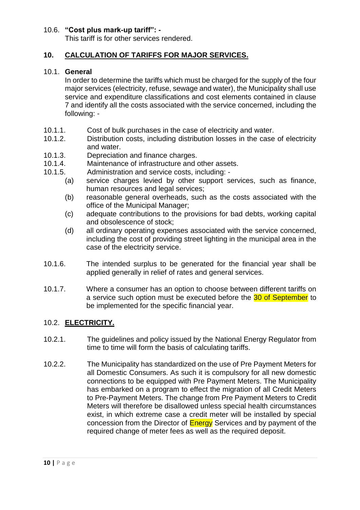#### 10.6. **"Cost plus mark-up tariff": -**

This tariff is for other services rendered.

### **10. CALCULATION OF TARIFFS FOR MAJOR SERVICES.**

#### 10.1. **General**

In order to determine the tariffs which must be charged for the supply of the four major services (electricity, refuse, sewage and water), the Municipality shall use service and expenditure classifications and cost elements contained in clause 7 and identify all the costs associated with the service concerned, including the following: -

- 10.1.1. Cost of bulk purchases in the case of electricity and water.
- 10.1.2. Distribution costs, including distribution losses in the case of electricity and water.
- 10.1.3. Depreciation and finance charges.
- 10.1.4. Maintenance of infrastructure and other assets.
- 10.1.5. Administration and service costs, including:
	- (a) service charges levied by other support services, such as finance, human resources and legal services;
	- (b) reasonable general overheads, such as the costs associated with the office of the Municipal Manager;
	- (c) adequate contributions to the provisions for bad debts, working capital and obsolescence of stock;
	- (d) all ordinary operating expenses associated with the service concerned, including the cost of providing street lighting in the municipal area in the case of the electricity service.
- 10.1.6. The intended surplus to be generated for the financial year shall be applied generally in relief of rates and general services.
- 10.1.7. Where a consumer has an option to choose between different tariffs on a service such option must be executed before the 30 of September to be implemented for the specific financial year.

#### 10.2. **ELECTRICITY.**

- 10.2.1. The guidelines and policy issued by the National Energy Regulator from time to time will form the basis of calculating tariffs.
- 10.2.2. The Municipality has standardized on the use of Pre Payment Meters for all Domestic Consumers. As such it is compulsory for all new domestic connections to be equipped with Pre Payment Meters. The Municipality has embarked on a program to effect the migration of all Credit Meters to Pre-Payment Meters. The change from Pre Payment Meters to Credit Meters will therefore be disallowed unless special health circumstances exist, in which extreme case a credit meter will be installed by special concession from the Director of Energy Services and by payment of the required change of meter fees as well as the required deposit.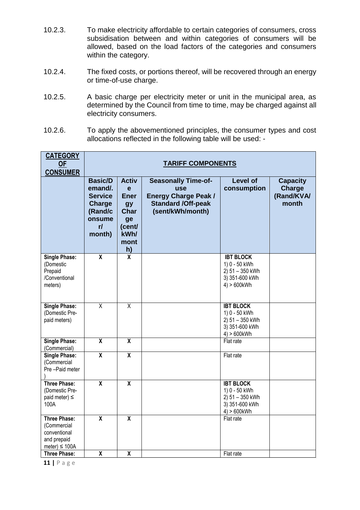- 10.2.3. To make electricity affordable to certain categories of consumers, cross subsidisation between and within categories of consumers will be allowed, based on the load factors of the categories and consumers within the category.
- 10.2.4. The fixed costs, or portions thereof, will be recovered through an energy or time-of-use charge.
- 10.2.5. A basic charge per electricity meter or unit in the municipal area, as determined by the Council from time to time, may be charged against all electricity consumers.
- 10.2.6. To apply the abovementioned principles, the consumer types and cost allocations reflected in the following table will be used: -

| <b>CATEGORY</b><br><b>OF</b><br><b>CONSUMER</b>                                         | <b>TARIFF COMPONENTS</b>                                                                          |                                                                                                    |                                                                                                                          |                                                                                          |                                                         |  |  |
|-----------------------------------------------------------------------------------------|---------------------------------------------------------------------------------------------------|----------------------------------------------------------------------------------------------------|--------------------------------------------------------------------------------------------------------------------------|------------------------------------------------------------------------------------------|---------------------------------------------------------|--|--|
|                                                                                         | <b>Basic/D</b><br>emand/.<br><b>Service</b><br><b>Charge</b><br>(Rand/c<br>onsume<br>r/<br>month) | <b>Activ</b><br>e<br><b>Ener</b><br><b>gy</b><br><b>Char</b><br>ge<br>(cent/<br>kWh/<br>mont<br>h) | <b>Seasonally Time-of-</b><br><b>use</b><br><b>Energy Charge Peak /</b><br><b>Standard /Off-peak</b><br>(sent/kWh/month) | <b>Level of</b><br>consumption                                                           | <b>Capacity</b><br><b>Charge</b><br>(Rand/KVA/<br>month |  |  |
| <b>Single Phase:</b><br>(Domestic<br>Prepaid<br>/Conventional<br>meters)                | $\overline{\mathbf{X}}$                                                                           | $\overline{\mathbf{x}}$                                                                            |                                                                                                                          | <b>IBT BLOCK</b><br>1) 0 - 50 kWh<br>2) 51 - 350 kWh<br>3) 351-600 kWh<br>$4) > 600$ kWh |                                                         |  |  |
| <b>Single Phase:</b><br>(Domestic Pre-<br>paid meters)                                  | $\overline{\mathsf{x}}$                                                                           | $\overline{\mathsf{x}}$                                                                            |                                                                                                                          | <b>IBT BLOCK</b><br>1) 0 - 50 kWh<br>2) 51 - 350 kWh<br>3) 351-600 kWh<br>$4) > 600$ kWh |                                                         |  |  |
| <b>Single Phase:</b><br>(Commercial)                                                    | $\overline{\mathbf{X}}$                                                                           | $\overline{\mathbf{X}}$                                                                            |                                                                                                                          | Flat rate                                                                                |                                                         |  |  |
| <b>Single Phase:</b><br>(Commercial<br>Pre-Paid meter                                   | $\overline{\mathsf{x}}$                                                                           | $\overline{\mathsf{x}}$                                                                            |                                                                                                                          | Flat rate                                                                                |                                                         |  |  |
| <b>Three Phase:</b><br>(Domestic Pre-<br>paid meter) $\leq$<br>100A                     | $\overline{\mathbf{x}}$                                                                           | $\overline{\mathbf{X}}$                                                                            |                                                                                                                          | <b>IBT BLOCK</b><br>1) 0 - 50 kWh<br>2) 51 - 350 kWh<br>3) 351-600 kWh<br>$4) > 600$ kWh |                                                         |  |  |
| <b>Three Phase:</b><br>(Commercial<br>conventional<br>and prepaid<br>meter) $\leq$ 100A | $\overline{\mathbf{X}}$                                                                           | $\overline{\mathbf{X}}$                                                                            |                                                                                                                          | Flat rate                                                                                |                                                         |  |  |
| <b>Three Phase:</b>                                                                     | X                                                                                                 | X                                                                                                  |                                                                                                                          | Flat rate                                                                                |                                                         |  |  |

**11 |** P a g e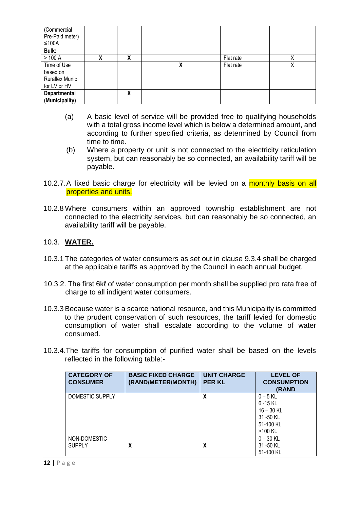| (Commercial<br>Pre-Paid meter)<br>$≤100A$ |   |   |   |           |   |
|-------------------------------------------|---|---|---|-----------|---|
| Bulk:                                     |   |   |   |           |   |
| >100 A                                    | χ | χ |   | Flat rate | Χ |
| Time of Use                               |   |   | χ | Flat rate | Χ |
| based on                                  |   |   |   |           |   |
| <b>Ruraflex Munic</b>                     |   |   |   |           |   |
| for LV or HV                              |   |   |   |           |   |
| Departmental                              |   | χ |   |           |   |
| (Municipality)                            |   |   |   |           |   |

- (a) A basic level of service will be provided free to qualifying households with a total gross income level which is below a determined amount, and according to further specified criteria, as determined by Council from time to time.
- (b) Where a property or unit is not connected to the electricity reticulation system, but can reasonably be so connected, an availability tariff will be payable.
- 10.2.7.A fixed basic charge for electricity will be levied on a monthly basis on all properties and units.
- 10.2.8 Where consumers within an approved township establishment are not connected to the electricity services, but can reasonably be so connected, an availability tariff will be payable.

#### 10.3. **WATER.**

- 10.3.1 The categories of water consumers as set out in clause 9.3.4 shall be charged at the applicable tariffs as approved by the Council in each annual budget.
- 10.3.2. The first 6kℓ of water consumption per month shall be supplied pro rata free of charge to all indigent water consumers.
- 10.3.3 Because water is a scarce national resource, and this Municipality is committed to the prudent conservation of such resources, the tariff levied for domestic consumption of water shall escalate according to the volume of water consumed.
- 10.3.4.The tariffs for consumption of purified water shall be based on the levels reflected in the following table:-

| <b>CATEGORY OF</b><br><b>CONSUMER</b> | <b>BASIC FIXED CHARGE</b><br>(RAND/METER/MONTH) | <b>UNIT CHARGE</b><br><b>PER KL</b> | <b>LEVEL OF</b><br><b>CONSUMPTION</b><br>(RAND                              |
|---------------------------------------|-------------------------------------------------|-------------------------------------|-----------------------------------------------------------------------------|
| DOMESTIC SUPPLY                       |                                                 | X                                   | $0 - 5$ KL<br>6-15 KL<br>$16 - 30$ KL<br>31 - 50 KL<br>51-100 KL<br>>100 KL |
| NON-DOMESTIC<br><b>SUPPLY</b>         | X                                               | X                                   | $0 - 30$ KL<br>31 - 50 KL<br>51-100 KL                                      |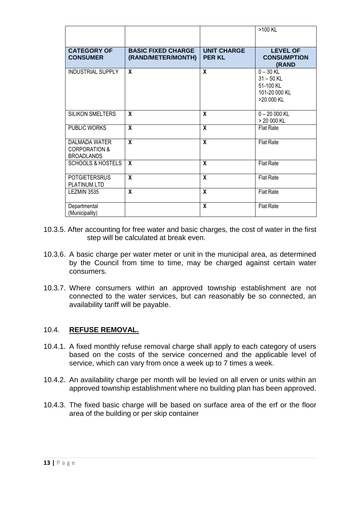|                                                                       |                                                 |                                     | >100 KL                                                                 |
|-----------------------------------------------------------------------|-------------------------------------------------|-------------------------------------|-------------------------------------------------------------------------|
| <b>CATEGORY OF</b><br><b>CONSUMER</b>                                 | <b>BASIC FIXED CHARGE</b><br>(RAND/METER/MONTH) | <b>UNIT CHARGE</b><br><b>PER KL</b> | <b>LEVEL OF</b><br><b>CONSUMPTION</b><br>(RAND                          |
| <b>INDUSTRIAL SUPPLY</b>                                              | X                                               | $\mathbf{x}$                        | $0 - 30$ KL<br>$31 - 50$ KL<br>51-100 KL<br>101-20 000 KL<br>>20 000 KL |
| <b>SILIKON SMELTERS</b>                                               | X                                               | X                                   | $0 - 20000$ KL<br>> 20 000 KL                                           |
| PUBLIC WORKS                                                          | X                                               | $\overline{\mathbf{x}}$             | <b>Flat Rate</b>                                                        |
| <b>DALMADA WATER</b><br><b>CORPORATION &amp;</b><br><b>BROADLANDS</b> | X                                               | $\mathsf{X}$                        | <b>Flat Rate</b>                                                        |
| <b>SCHOOLS &amp; HOSTELS</b>                                          | $\mathbf{x}$                                    | $\mathbf{x}$                        | <b>Flat Rate</b>                                                        |
| <b>POTGIETERSRUS</b><br><b>PLATINUM LTD</b>                           | X                                               | $\overline{\mathbf{x}}$             | <b>Flat Rate</b>                                                        |
| LEZMIN 3535                                                           | X                                               | $\mathbf{x}$                        | <b>Flat Rate</b>                                                        |
| Departmental<br>(Municipality)                                        |                                                 | $\boldsymbol{x}$                    | <b>Flat Rate</b>                                                        |

- 10.3.5. After accounting for free water and basic charges, the cost of water in the first step will be calculated at break even.
- 10.3.6. A basic charge per water meter or unit in the municipal area, as determined by the Council from time to time, may be charged against certain water consumers.
- 10.3.7. Where consumers within an approved township establishment are not connected to the water services, but can reasonably be so connected, an availability tariff will be payable.

#### 10.4. **REFUSE REMOVAL.**

- 10.4.1. A fixed monthly refuse removal charge shall apply to each category of users based on the costs of the service concerned and the applicable level of service, which can vary from once a week up to 7 times a week.
- 10.4.2. An availability charge per month will be levied on all erven or units within an approved township establishment where no building plan has been approved.
- 10.4.3. The fixed basic charge will be based on surface area of the erf or the floor area of the building or per skip container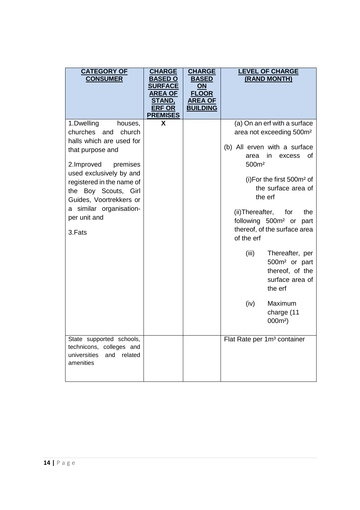| <b>CATEGORY OF</b><br><b>CONSUMER</b>                                                                                                                                                                                                                                                     | <b>CHARGE</b><br><b>BASED O</b><br><b>SURFACE</b><br><b>AREA OF</b><br><b>STAND,</b><br><b>ERF OR</b><br><b>PREMISES</b> | <b>CHARGE</b><br><b>BASED</b><br>ON<br><b>FLOOR</b><br><b>AREA OF</b><br><b>BUILDING</b> | <b>LEVEL OF CHARGE</b><br>(RAND MONTH)                                                                                                                                                                                                                                                                                                                                                                                                                                                                     |
|-------------------------------------------------------------------------------------------------------------------------------------------------------------------------------------------------------------------------------------------------------------------------------------------|--------------------------------------------------------------------------------------------------------------------------|------------------------------------------------------------------------------------------|------------------------------------------------------------------------------------------------------------------------------------------------------------------------------------------------------------------------------------------------------------------------------------------------------------------------------------------------------------------------------------------------------------------------------------------------------------------------------------------------------------|
| 1.Dwelling<br>houses,<br>churches and<br>church<br>halls which are used for<br>that purpose and<br>2.Improved<br>premises<br>used exclusively by and<br>registered in the name of<br>the Boy Scouts, Girl<br>Guides, Voortrekkers or<br>a similar organisation-<br>per unit and<br>3.Fats | X                                                                                                                        |                                                                                          | (a) On an erf with a surface<br>area not exceeding 500m <sup>2</sup><br>(b) All erven with a surface<br>in<br>area<br>excess<br>Ωf<br>500m <sup>2</sup><br>(i) For the first $500m^2$ of<br>the surface area of<br>the erf<br>(ii) Thereafter,<br>for<br>the<br>following 500m <sup>2</sup> or part<br>thereof, of the surface area<br>of the erf<br>(iii)<br>Thereafter, per<br>500m <sup>2</sup> or part<br>thereof, of the<br>surface area of<br>the erf<br>(iv)<br>Maximum<br>charge (11<br>$000m^2$ ) |
| State supported schools,<br>technicons, colleges and<br>universities<br>related<br>and<br>amenities                                                                                                                                                                                       |                                                                                                                          |                                                                                          | Flat Rate per 1m <sup>3</sup> container                                                                                                                                                                                                                                                                                                                                                                                                                                                                    |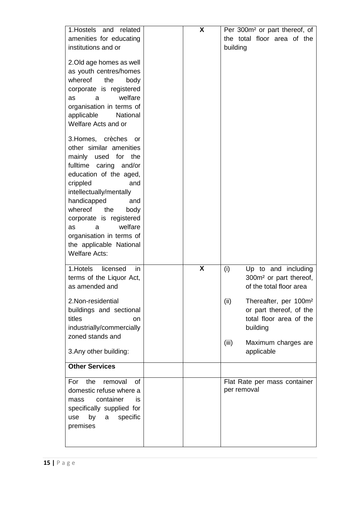| 1. Hostels and related                                                                                                                                                                                                                                                                                                                                         | X |               | Per 300m <sup>2</sup> or part thereof, of                                                                                  |
|----------------------------------------------------------------------------------------------------------------------------------------------------------------------------------------------------------------------------------------------------------------------------------------------------------------------------------------------------------------|---|---------------|----------------------------------------------------------------------------------------------------------------------------|
| amenities for educating                                                                                                                                                                                                                                                                                                                                        |   |               | the total floor area of the                                                                                                |
| institutions and or                                                                                                                                                                                                                                                                                                                                            |   | building      |                                                                                                                            |
| 2. Old age homes as well<br>as youth centres/homes<br>whereof<br>the<br>body<br>corporate is registered<br>welfare<br>a<br>as<br>organisation in terms of<br>applicable<br>National<br>Welfare Acts and or                                                                                                                                                     |   |               |                                                                                                                            |
| 3. Homes, crèches<br>or<br>other similar amenities<br>mainly used for<br>the<br>fulltime caring and/or<br>education of the aged,<br>crippled<br>and<br>intellectually/mentally<br>handicapped<br>and<br>whereof<br>the<br>body<br>corporate is registered<br>welfare<br>as<br>a<br>organisation in terms of<br>the applicable National<br><b>Welfare Acts:</b> |   |               |                                                                                                                            |
| 1. Hotels<br>licensed<br>in<br>terms of the Liquor Act,<br>as amended and                                                                                                                                                                                                                                                                                      | X | (i)           | Up to and including<br>300m <sup>2</sup> or part thereof,<br>of the total floor area                                       |
| 2. Non-residential<br>buildings and sectional<br>titles<br>on<br>industrially/commercially<br>zoned stands and                                                                                                                                                                                                                                                 |   | (ii)<br>(iii) | Thereafter, per 100m <sup>2</sup><br>or part thereof, of the<br>total floor area of the<br>building<br>Maximum charges are |
| 3. Any other building:                                                                                                                                                                                                                                                                                                                                         |   |               | applicable                                                                                                                 |
| <b>Other Services</b>                                                                                                                                                                                                                                                                                                                                          |   |               |                                                                                                                            |
| the<br>removal<br>For<br>0f<br>domestic refuse where a<br>container<br>İS<br>mass<br>specifically supplied for<br>by<br>specific<br>use<br>a<br>premises                                                                                                                                                                                                       |   | per removal   | Flat Rate per mass container                                                                                               |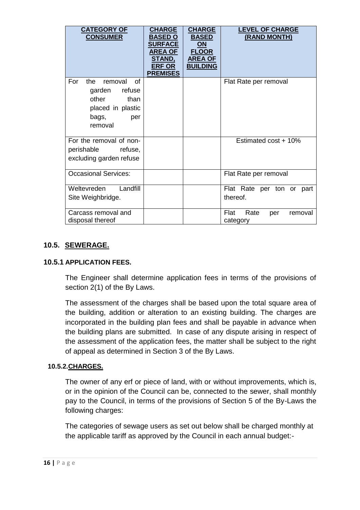| <b>CATEGORY OF</b><br><b>CONSUMER</b>                                                                             | <b>CHARGE</b><br><b>BASED O</b><br><b>SURFACE</b><br><b>AREA OF</b><br><b>STAND,</b><br><b>ERF OR</b><br><b>PREMISES</b> | <b>CHARGE</b><br><b>BASED</b><br>ON<br><b>FLOOR</b><br><b>AREA OF</b><br><b>BUILDING</b> | <b>LEVEL OF CHARGE</b><br>(RAND MONTH)     |
|-------------------------------------------------------------------------------------------------------------------|--------------------------------------------------------------------------------------------------------------------------|------------------------------------------------------------------------------------------|--------------------------------------------|
| For<br>the.<br>removal<br>of<br>refuse<br>garden<br>other<br>than<br>placed in plastic<br>bags,<br>per<br>removal |                                                                                                                          |                                                                                          | Flat Rate per removal                      |
| For the removal of non-<br>perishable<br>refuse,<br>excluding garden refuse                                       |                                                                                                                          |                                                                                          | Estimated cost + 10%                       |
| <b>Occasional Services:</b>                                                                                       |                                                                                                                          |                                                                                          | Flat Rate per removal                      |
| Weltevreden<br>Landfill<br>Site Weighbridge.                                                                      |                                                                                                                          |                                                                                          | Flat Rate per ton or part<br>thereof.      |
| Carcass removal and<br>disposal thereof                                                                           |                                                                                                                          |                                                                                          | Flat<br>Rate<br>removal<br>per<br>category |

## **10.5. SEWERAGE.**

#### **10.5.1 APPLICATION FEES.**

The Engineer shall determine application fees in terms of the provisions of section 2(1) of the By Laws.

The assessment of the charges shall be based upon the total square area of the building, addition or alteration to an existing building. The charges are incorporated in the building plan fees and shall be payable in advance when the building plans are submitted. In case of any dispute arising in respect of the assessment of the application fees, the matter shall be subject to the right of appeal as determined in Section 3 of the By Laws.

#### **10.5.2.CHARGES.**

The owner of any erf or piece of land, with or without improvements, which is, or in the opinion of the Council can be, connected to the sewer, shall monthly pay to the Council, in terms of the provisions of Section 5 of the By-Laws the following charges:

The categories of sewage users as set out below shall be charged monthly at the applicable tariff as approved by the Council in each annual budget:-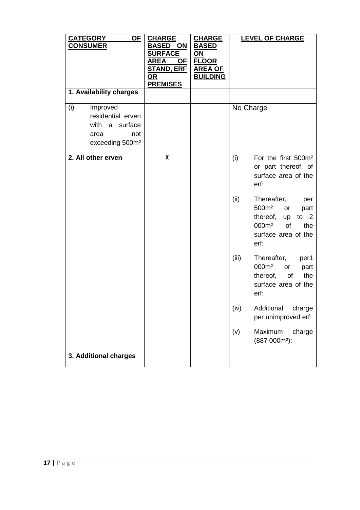| <b>CATEGORY</b><br><u>OF</u><br><b>CONSUMER</b>                                                      | <b>CHARGE</b><br><b>BASED ON</b><br><b>SURFACE</b><br>AREA<br><u>OF</u><br><b>STAND, ERF</b><br>OR<br><b>PREMISES</b> | <b>CHARGE</b><br><b>BASED</b><br><u>ON</u><br><b>FLOOR</b><br><b>AREA OF</b><br><b>BUILDING</b> | <b>LEVEL OF CHARGE</b>                                                                                                                                    |
|------------------------------------------------------------------------------------------------------|-----------------------------------------------------------------------------------------------------------------------|-------------------------------------------------------------------------------------------------|-----------------------------------------------------------------------------------------------------------------------------------------------------------|
| 1. Availability charges                                                                              |                                                                                                                       |                                                                                                 |                                                                                                                                                           |
| Improved<br>(i)<br>residential erven<br>with a surface<br>not<br>area<br>exceeding 500m <sup>2</sup> |                                                                                                                       |                                                                                                 | No Charge                                                                                                                                                 |
| 2. All other erven                                                                                   | $\overline{\mathbf{X}}$                                                                                               |                                                                                                 | For the first 500m <sup>2</sup><br>(i)<br>or part thereof, of<br>surface area of the<br>erf:                                                              |
|                                                                                                      |                                                                                                                       |                                                                                                 | (ii)<br>Thereafter,<br>per<br>500m <sup>2</sup><br>or<br>part<br>thereof, up to 2<br>000m <sup>2</sup><br>the<br><b>of</b><br>surface area of the<br>erf: |
|                                                                                                      |                                                                                                                       |                                                                                                 | (iii)<br>Thereafter,<br>per1<br>000m <sup>2</sup><br>or<br>part<br>the<br>thereof, of<br>surface area of the<br>erf:                                      |
|                                                                                                      |                                                                                                                       |                                                                                                 | Additional<br>charge<br>(iv)<br>per unimproved erf:                                                                                                       |
|                                                                                                      |                                                                                                                       |                                                                                                 | Maximum<br>charge<br>(v)<br>(887 000m <sup>2</sup> ):                                                                                                     |
| 3. Additional charges                                                                                |                                                                                                                       |                                                                                                 |                                                                                                                                                           |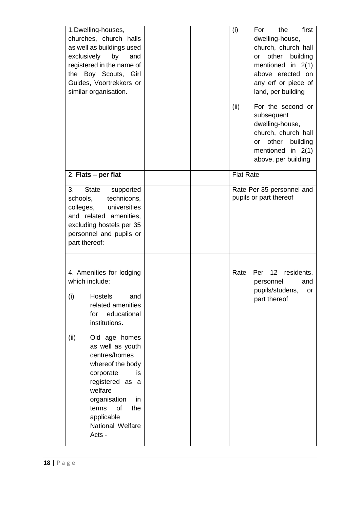| 1.Dwelling-houses,<br>churches, church halls<br>as well as buildings used<br>exclusively<br>by<br>and<br>registered in the name of<br>the Boy Scouts, Girl<br>Guides, Voortrekkers or<br>similar organisation.                                                                                                                                             |  | (i)<br>(ii)      | first<br>the<br>For<br>dwelling-house,<br>church, church hall<br>or other building<br>mentioned in $2(1)$<br>above erected on<br>any erf or piece of<br>land, per building<br>For the second or<br>subsequent<br>dwelling-house,<br>church, church hall<br>other<br>building<br><b>or</b><br>mentioned in 2(1)<br>above, per building |
|------------------------------------------------------------------------------------------------------------------------------------------------------------------------------------------------------------------------------------------------------------------------------------------------------------------------------------------------------------|--|------------------|---------------------------------------------------------------------------------------------------------------------------------------------------------------------------------------------------------------------------------------------------------------------------------------------------------------------------------------|
| 2. Flats - per flat                                                                                                                                                                                                                                                                                                                                        |  | <b>Flat Rate</b> |                                                                                                                                                                                                                                                                                                                                       |
| 3.<br><b>State</b><br>supported<br>technicons,<br>schools,<br>universities<br>colleges,<br>and related amenities,<br>excluding hostels per 35<br>personnel and pupils or<br>part thereof:                                                                                                                                                                  |  |                  | Rate Per 35 personnel and<br>pupils or part thereof                                                                                                                                                                                                                                                                                   |
| 4. Amenities for lodging<br>which include:<br>(i)<br>Hostels<br>and<br>related amenities<br>educational<br>for<br>institutions.<br>Old age homes<br>(ii)<br>as well as youth<br>centres/homes<br>whereof the body<br>corporate<br>is<br>registered as a<br>welfare<br>organisation<br>in<br>of<br>terms<br>the<br>applicable<br>National Welfare<br>Acts - |  | Rate             | Per 12<br>residents,<br>personnel<br>and<br>pupils/studens,<br>or<br>part thereof                                                                                                                                                                                                                                                     |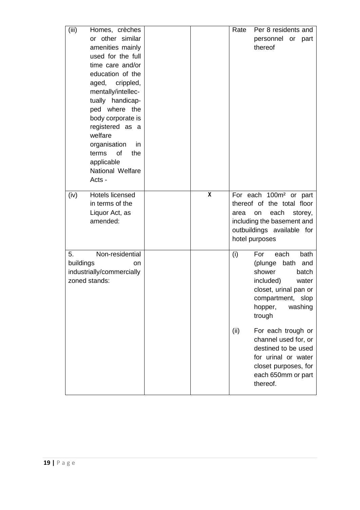| (iii)           | Homes, crèches<br>or other similar<br>amenities mainly<br>used for the full<br>time care and/or<br>education of the<br>aged, crippled,<br>mentally/intellec-<br>tually handicap-<br>ped where the<br>body corporate is<br>registered as a<br>welfare<br>organisation<br>$\mathsf{I}$<br>of<br>terms<br>the<br>applicable<br>National Welfare |   | Rate | Per 8 residents and<br>personnel or part<br>thereof                                                                                                                     |
|-----------------|----------------------------------------------------------------------------------------------------------------------------------------------------------------------------------------------------------------------------------------------------------------------------------------------------------------------------------------------|---|------|-------------------------------------------------------------------------------------------------------------------------------------------------------------------------|
|                 | Acts -                                                                                                                                                                                                                                                                                                                                       |   |      |                                                                                                                                                                         |
| (iv)            | Hotels licensed<br>in terms of the<br>Liquor Act, as<br>amended:                                                                                                                                                                                                                                                                             | X | area | For each 100m <sup>2</sup> or part<br>thereof of the total floor<br>each<br>storey,<br>on<br>including the basement and<br>outbuildings available for<br>hotel purposes |
| 5.<br>buildings | Non-residential<br>on<br>industrially/commercially<br>zoned stands:                                                                                                                                                                                                                                                                          |   | (i)  | each<br>bath<br>For<br>(plunge<br>bath<br>and<br>shower<br>batch<br>included)<br>water<br>closet, urinal pan or<br>compartment, slop<br>hopper,<br>washing<br>trough    |
|                 |                                                                                                                                                                                                                                                                                                                                              |   | (ii) | For each trough or<br>channel used for, or<br>destined to be used<br>for urinal or water<br>closet purposes, for<br>each 650mm or part<br>thereof.                      |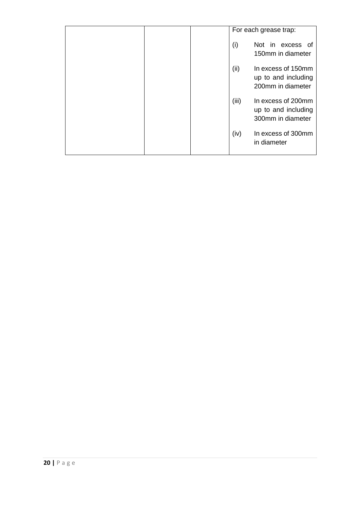|  |       | For each grease trap:                                          |
|--|-------|----------------------------------------------------------------|
|  | (i)   | Not in excess of<br>150mm in diameter                          |
|  | (ii)  | In excess of 150mm<br>up to and including<br>200mm in diameter |
|  | (iii) | In excess of 200mm<br>up to and including<br>300mm in diameter |
|  | (iv)  | In excess of 300mm<br>in diameter                              |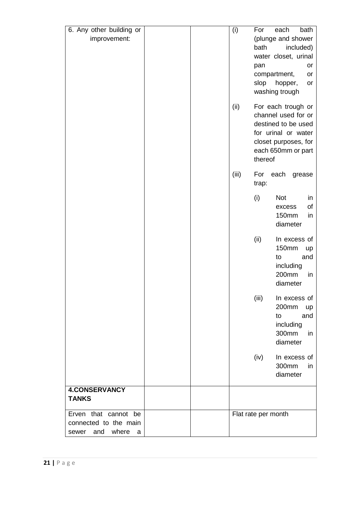| 6. Any other building or   | (i)<br>For          | bath<br>each                               |
|----------------------------|---------------------|--------------------------------------------|
| improvement:               |                     | (plunge and shower                         |
|                            | bath                | included)                                  |
|                            |                     | water closet, urinal                       |
|                            | pan                 | or                                         |
|                            |                     | compartment,<br>or                         |
|                            | slop                | hopper,<br>or<br>washing trough            |
|                            |                     |                                            |
|                            | (ii)                | For each trough or                         |
|                            |                     | channel used for or                        |
|                            |                     | destined to be used                        |
|                            |                     | for urinal or water                        |
|                            |                     | closet purposes, for<br>each 650mm or part |
|                            |                     | thereof                                    |
|                            |                     |                                            |
|                            | (iii)               | For each grease                            |
|                            | trap:               |                                            |
|                            | (i)                 | <b>Not</b><br>in                           |
|                            |                     | of<br>excess                               |
|                            |                     | <b>150mm</b><br>in                         |
|                            |                     | diameter                                   |
|                            | (ii)                | In excess of                               |
|                            |                     | <b>150mm</b><br>up                         |
|                            |                     | and<br>to                                  |
|                            |                     | including                                  |
|                            |                     | 200mm<br>in                                |
|                            |                     | diameter                                   |
|                            | (iii)               | In excess of                               |
|                            |                     | 200mm<br>up                                |
|                            |                     | and<br>to                                  |
|                            |                     | including                                  |
|                            |                     | 300mm<br>in                                |
|                            |                     | diameter                                   |
|                            | (iv)                | In excess of                               |
|                            |                     | 300mm<br>in                                |
|                            |                     | diameter                                   |
| <b>4.CONSERVANCY</b>       |                     |                                            |
| <b>TANKS</b>               |                     |                                            |
| Erven that cannot be       | Flat rate per month |                                            |
| connected to the main      |                     |                                            |
| and<br>where<br>sewer<br>a |                     |                                            |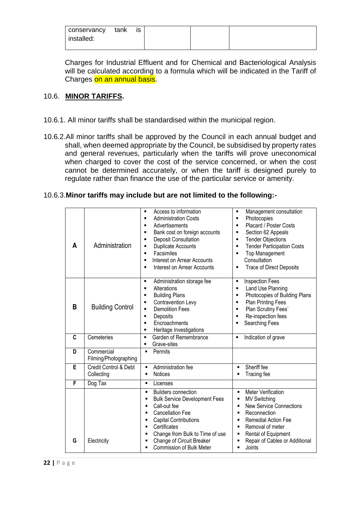| conservancy | tank | IS |
|-------------|------|----|
|             |      |    |
| installed:  |      |    |
|             |      |    |

Charges for Industrial Effluent and for Chemical and Bacteriological Analysis will be calculated according to a formula which will be indicated in the Tariff of Charges on an annual basis.

#### 10.6. **MINOR TARIFFS.**

- 10.6.1. All minor tariffs shall be standardised within the municipal region.
- 10.6.2.All minor tariffs shall be approved by the Council in each annual budget and shall, when deemed appropriate by the Council, be subsidised by property rates and general revenues, particularly when the tariffs will prove uneconomical when charged to cover the cost of the service concerned, or when the cost cannot be determined accurately, or when the tariff is designed purely to regulate rather than finance the use of the particular service or amenity.

#### 10.6.3.**Minor tariffs may include but are not limited to the following:-**

| A | Administration                      | Access to information<br>٠<br><b>Administration Costs</b><br>٠<br>Advertisements<br>$\blacksquare$<br>Bank cost on foreign accounts<br>٠<br><b>Deposit Consultation</b><br>Ξ<br>Duplicate Accounts<br>Ξ<br>Facsimiles<br>٠<br>Interest on Arrear Accounts<br>٠<br>Interest on Arrear Accounts<br>٠                                                                                          | Management consultation<br>$\blacksquare$<br>Photocopies<br>$\blacksquare$<br>Placard / Poster Costs<br>$\blacksquare$<br>Section 62 Appeals<br>$\blacksquare$<br><b>Tender Objections</b><br>$\blacksquare$<br><b>Tender Participation Costs</b><br>$\blacksquare$<br><b>Top Management</b><br>П<br>Consultation<br><b>Trace of Direct Deposits</b><br>$\blacksquare$ |
|---|-------------------------------------|---------------------------------------------------------------------------------------------------------------------------------------------------------------------------------------------------------------------------------------------------------------------------------------------------------------------------------------------------------------------------------------------|------------------------------------------------------------------------------------------------------------------------------------------------------------------------------------------------------------------------------------------------------------------------------------------------------------------------------------------------------------------------|
| B | <b>Building Control</b>             | Administration storage fee<br>٠<br>Alterations<br>$\blacksquare$<br><b>Building Plans</b><br>П<br>Contravention Levy<br>П<br><b>Demolition Fees</b><br>п<br>Deposits<br>٠<br>Encroachments<br>$\blacksquare$<br>Heritage Investigations<br>٠                                                                                                                                                | <b>Inspection Fees</b><br>$\blacksquare$<br>Land Use Planning<br>$\blacksquare$<br>Photocopies of Building Plans<br>$\blacksquare$<br><b>Plan Printing Fees</b><br>$\blacksquare$<br>Plan Scrutiny Fees'<br>п<br>Re-inspection fees<br>п<br>Searching Fees<br>П                                                                                                        |
| C | Cemeteries                          | Garden of Remembrance<br>$\blacksquare$<br>Grave-sites<br>٠                                                                                                                                                                                                                                                                                                                                 | Indication of grave<br>п                                                                                                                                                                                                                                                                                                                                               |
| D | Commercial<br>Filming/Photographing | Permits<br>$\blacksquare$                                                                                                                                                                                                                                                                                                                                                                   |                                                                                                                                                                                                                                                                                                                                                                        |
| E | Credit Control & Debt<br>Collecting | Administration fee<br>$\blacksquare$<br><b>Notices</b><br>$\blacksquare$                                                                                                                                                                                                                                                                                                                    | Sheriff fee<br>$\blacksquare$<br>Tracing fee                                                                                                                                                                                                                                                                                                                           |
| F | Dog Tax                             | Licenses<br>$\blacksquare$                                                                                                                                                                                                                                                                                                                                                                  |                                                                                                                                                                                                                                                                                                                                                                        |
| G | Electricity                         | <b>Builders connection</b><br>$\blacksquare$<br><b>Bulk Service Development Fees</b><br>$\blacksquare$<br>Call-out fee<br>$\blacksquare$<br><b>Cancellation Fee</b><br>$\blacksquare$<br><b>Capital Contributions</b><br>$\blacksquare$<br>Certificates<br>$\blacksquare$<br>Change from Bulk to Time of use<br>п<br>Change of Circuit Breaker<br>п<br><b>Commission of Bulk Meter</b><br>٠ | <b>Meter Verification</b><br>$\blacksquare$<br><b>MV Switching</b><br>٠<br><b>New Service Connections</b><br>$\blacksquare$<br>Reconnection<br>$\blacksquare$<br><b>Remedial Action Fee</b><br>٠<br>Removal of meter<br>٠<br>Rental of Equipment<br>٠<br>Repair of Cables or Additional<br>Joints<br>٠                                                                 |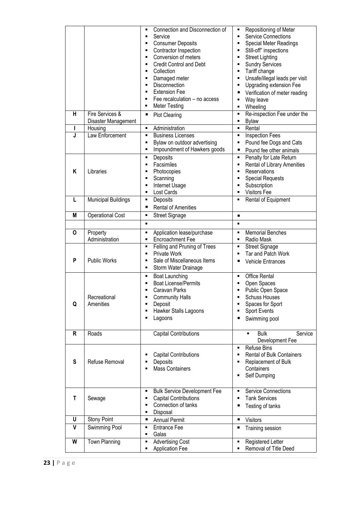|   |                            | Connection and Disconnection of<br>٠<br>Service<br>٠<br><b>Consumer Deposits</b><br>٠ | Repositioning of Meter<br>٠<br><b>Service Connections</b><br><b>Special Meter Readings</b><br>٠ |
|---|----------------------------|---------------------------------------------------------------------------------------|-------------------------------------------------------------------------------------------------|
|   |                            | Contractor Inspection<br>٠<br>Conversion of meters<br>٠                               | Still-off" inspections<br>٠<br><b>Street Lighting</b><br>٠                                      |
|   |                            | <b>Credit Control and Debt</b><br>٠                                                   | <b>Sundry Services</b><br>٠                                                                     |
|   |                            | Collection<br>٠                                                                       | Tariff change<br>٠                                                                              |
|   |                            | Damaged meter<br>٠<br>Disconnection<br>$\blacksquare$                                 | Unsafe/illegal leads per visit<br>٠                                                             |
|   |                            | <b>Extension Fee</b><br>٠                                                             | Upgrading extension Fee<br>٠<br>Verification of meter reading<br>٠                              |
|   |                            | Fee recalculation - no access<br>٠                                                    | Way leave<br>$\blacksquare$                                                                     |
|   |                            | <b>Meter Testing</b><br>٠                                                             | Wheeling<br>٠                                                                                   |
| н | Fire Services &            | <b>Plot Clearing</b><br>Е                                                             | Re-inspection Fee under the<br>٠                                                                |
|   | Disaster Management        |                                                                                       | <b>Bylaw</b><br>٠                                                                               |
| L | Housing                    | Administration<br>٠                                                                   | Rental<br>٠                                                                                     |
| J | Law Enforcement            | <b>Business Licenses</b><br>٠                                                         | <b>Inspection Fees</b><br>٠                                                                     |
|   |                            | Bylaw on outdoor advertising<br>٠<br>Impoundment of Hawkers goods<br>٠                | Pound fee Dogs and Cats<br>Е<br>Pound fee other animals<br>п                                    |
|   |                            | Deposits<br>٠                                                                         | Penalty for Late Return<br>٠                                                                    |
|   |                            | Facsimiles<br>٠                                                                       | Rental of Library Amenities<br>Е                                                                |
| Κ | Libraries                  | Photocopies<br>٠                                                                      | Reservations                                                                                    |
|   |                            | Scanning<br>٠                                                                         | <b>Special Requests</b>                                                                         |
|   |                            | Internet Usage<br>٠                                                                   | Subscription                                                                                    |
| L | <b>Municipal Buildings</b> | Lost Cards<br>٠<br>٠                                                                  | Visitors Fee                                                                                    |
|   |                            | Deposits<br><b>Rental of Amenities</b><br>П                                           | Rental of Equipment                                                                             |
| M | <b>Operational Cost</b>    | <b>Street Signage</b><br>٠                                                            | ٠                                                                                               |
|   |                            | ٠                                                                                     | $\blacksquare$                                                                                  |
| 0 |                            | ٠                                                                                     | <b>Memorial Benches</b><br>٠                                                                    |
|   | Property<br>Administration | Application lease/purchase<br>Encroachment Fee<br>٠                                   | Radio Mask                                                                                      |
|   |                            | Felling and Pruning of Trees<br>٠                                                     | <b>Street Signage</b><br>Ξ                                                                      |
|   |                            | Private Work<br>٠                                                                     | Tar and Patch Work                                                                              |
| P | <b>Public Works</b>        | Sale of Miscellaneous Items<br>٠                                                      | <b>Vehicle Entrances</b>                                                                        |
|   |                            | Storm Water Drainage<br>٠                                                             |                                                                                                 |
|   |                            | <b>Boat Launching</b><br>٠                                                            | Office Rental                                                                                   |
|   |                            | <b>Boat License/Permits</b><br>٠<br>Caravan Parks<br>٠                                | Open Spaces<br>Public Open Space                                                                |
|   | Recreational               | <b>Community Halls</b>                                                                | Schuss Houses                                                                                   |
| Q | Amenities                  | Deposit<br>٠                                                                          | Spaces for Sport<br>٠                                                                           |
|   |                            | Hawker Stalls Lagoons<br>٠                                                            | Sport Events                                                                                    |
|   |                            | Lagoons<br>٠                                                                          | Swimming pool                                                                                   |
|   |                            |                                                                                       |                                                                                                 |
| R | Roads                      | <b>Capital Contributions</b>                                                          | <b>Bulk</b><br>Service<br>Ξ<br>Development Fee                                                  |
|   |                            |                                                                                       | Refuse Bins<br>٠                                                                                |
|   |                            | <b>Capital Contributions</b><br>٠                                                     | <b>Rental of Bulk Containers</b><br>٠                                                           |
| S | Refuse Removal             | Deposits<br>٠                                                                         | Replacement of Bulk<br>٠                                                                        |
|   |                            | <b>Mass Containers</b><br>٠                                                           | Containers                                                                                      |
|   |                            |                                                                                       | Self Dumping                                                                                    |
|   |                            | <b>Bulk Service Development Fee</b><br>٠                                              | <b>Service Connections</b><br>٠                                                                 |
| Τ | Sewage                     | <b>Capital Contributions</b><br>٠                                                     | <b>Tank Services</b><br>٠                                                                       |
|   |                            | Connection of tanks<br>٠                                                              | Testing of tanks<br>٠                                                                           |
|   |                            | Disposal<br>٠                                                                         |                                                                                                 |
| U | Stony Point                | <b>Annual Permit</b><br>Е                                                             | Visitors<br>٠                                                                                   |
| V | Swimming Pool              | <b>Entrance Fee</b><br>٠<br>Galas<br>٠                                                | ٠<br>Training session                                                                           |
| W | Town Planning              | <b>Advertising Cost</b><br>٠                                                          | Registered Letter                                                                               |
|   |                            | <b>Application Fee</b><br>٠                                                           | Removal of Title Deed                                                                           |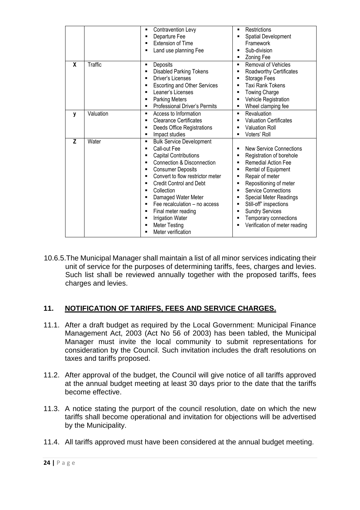|   |           | Contravention Levy<br>$\blacksquare$<br>Departure Fee<br>٠<br><b>Extension of Time</b><br>٠<br>Land use planning Fee<br>٠                                                                                                                                                                                                                                                                                                                                   | Restrictions<br>٠<br>Spatial Development<br>٠<br>Framework<br>Sub-division<br>٠<br><b>Zoning Fee</b><br>٠                                                                                                                                                                                                                                                                                     |
|---|-----------|-------------------------------------------------------------------------------------------------------------------------------------------------------------------------------------------------------------------------------------------------------------------------------------------------------------------------------------------------------------------------------------------------------------------------------------------------------------|-----------------------------------------------------------------------------------------------------------------------------------------------------------------------------------------------------------------------------------------------------------------------------------------------------------------------------------------------------------------------------------------------|
| X | Traffic   | Deposits<br>٠<br><b>Disabled Parking Tokens</b><br>٠<br>Driver's Licenses<br>٠<br><b>Escorting and Other Services</b><br>٠<br>Leaner's Licenses<br>٠<br><b>Parking Meters</b><br>٠<br>Professional Driver's Permits<br>٠                                                                                                                                                                                                                                    | <b>Removal of Vehicles</b><br>٠<br><b>Roadworthy Certificates</b><br>п<br>Storage Fees<br>٠<br>Taxi Rank Tokens<br><b>Towing Charge</b><br>٠<br>Vehicle Registration<br>$\blacksquare$<br>Wheel clamping fee<br>٠                                                                                                                                                                             |
| y | Valuation | Access to Information<br>٠<br><b>Clearance Certificates</b><br>▪<br>Deeds Office Registrations<br>٠<br>Impact studies<br>٠                                                                                                                                                                                                                                                                                                                                  | Revaluation<br>$\blacksquare$<br><b>Valuation Certificates</b><br><b>Valuation Roll</b><br>▪<br>Voters' Roll                                                                                                                                                                                                                                                                                  |
| Z | Water     | <b>Bulk Service Development</b><br>٠<br>Call-out Fee<br>٠<br><b>Capital Contributions</b><br>٠<br>Connection & Disconnection<br>٠<br><b>Consumer Deposits</b><br>٠<br>Convert to flow restrictor meter<br>٠<br><b>Credit Control and Debt</b><br>٠<br>Collection<br>٠<br>Damaged Water Meter<br>▪<br>Fee recalculation - no access<br>٠<br>Final meter reading<br>٠<br><b>Irrigation Water</b><br>٠<br><b>Meter Testing</b><br>٠<br>Meter verification<br>٠ | New Service Connections<br>Registration of borehole<br>٠<br><b>Remedial Action Fee</b><br>$\blacksquare$<br>Rental of Equipment<br>٠<br>Repair of meter<br>٠<br>Repositioning of meter<br>٠<br><b>Service Connections</b><br>$\blacksquare$<br>Special Meter Readings<br>٠<br>Still-off" inspections<br>٠<br><b>Sundry Services</b><br>Temporary connections<br>Verification of meter reading |

10.6.5.The Municipal Manager shall maintain a list of all minor services indicating their unit of service for the purposes of determining tariffs, fees, charges and levies. Such list shall be reviewed annually together with the proposed tariffs, fees charges and levies.

## **11. NOTIFICATION OF TARIFFS, FEES AND SERVICE CHARGES.**

- 11.1. After a draft budget as required by the Local Government: Municipal Finance Management Act, 2003 (Act No 56 of 2003) has been tabled, the Municipal Manager must invite the local community to submit representations for consideration by the Council. Such invitation includes the draft resolutions on taxes and tariffs proposed.
- 11.2. After approval of the budget, the Council will give notice of all tariffs approved at the annual budget meeting at least 30 days prior to the date that the tariffs become effective.
- 11.3. A notice stating the purport of the council resolution, date on which the new tariffs shall become operational and invitation for objections will be advertised by the Municipality.
- 11.4. All tariffs approved must have been considered at the annual budget meeting.